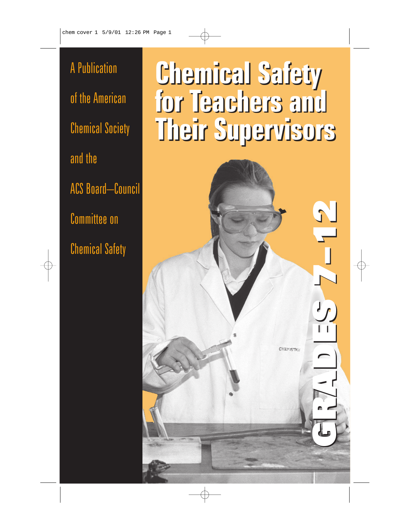A Publication of the American Chemical Society and the ACS Board–Council Committee on Chemical Safety

# **Chemical Safety Chemical Safety for Teachers and for Teachers and Their Supervisors Their Supervisors**

GRADES 7–12 GRADES 7–12

**CHEMISTRS** 

 $J_{\text{L}}$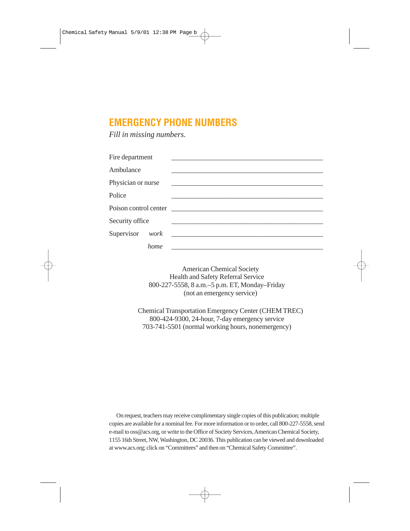### **EMERGENCY PHONE NUMBERS**

*Fill in missing numbers.*

| Fire department    |      |                                               |
|--------------------|------|-----------------------------------------------|
| Ambulance          |      |                                               |
| Physician or nurse |      | <u> 1980 - Andrea Andrew Maria (h. 1980).</u> |
| Police             |      |                                               |
|                    |      | Poison control center                         |
| Security office    |      |                                               |
| Supervisor work    |      |                                               |
|                    | home |                                               |

American Chemical Society Health and Safety Referral Service 800-227-5558, 8 a.m.–5 p.m. ET, Monday–Friday (not an emergency service)

Chemical Transportation Emergency Center (CHEM TREC) 800-424-9300, 24-hour, 7-day emergency service 703-741-5501 (normal working hours, nonemergency)

On request, teachers may receive complimentary single copies of this publication; multiple copies are available for a nominal fee. For more information or to order, call 800-227-5558, send e-mail to oss@acs.org, or write to the Office of Society Services, American Chemical Society, 1155 16th Street, NW, Washington, DC 20036. This publication can be viewed and downloaded at www.acs.org; click on "Committees" and then on "Chemical Safety Committee".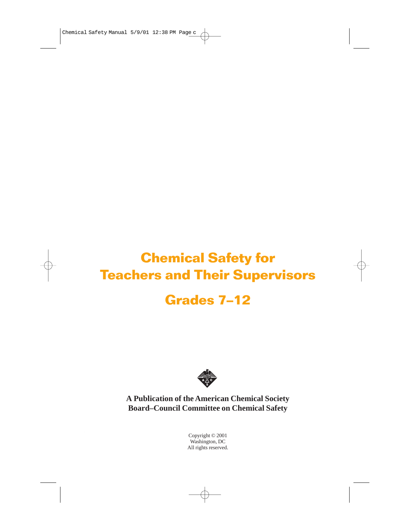# **Chemical Safety for Teachers and Their Supervisors Grades 7–12**



**A Publication of the American Chemical Society Board–Council Committee on Chemical Safety**

> Copyright © 2001 Washington, DC All rights reserved.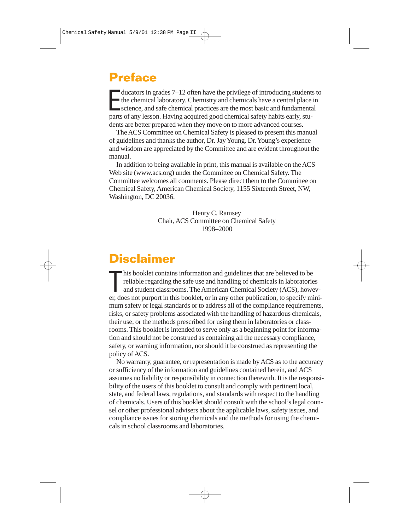## **Preface**

ducators in grades 7–12 often have the privilege of introducing students<br>the chemical laboratory. Chemistry and chemicals have a central place is<br>science, and safe chemical practices are the most basic and fundamental<br>part ducators in grades 7–12 often have the privilege of introducing students to the chemical laboratory. Chemistry and chemicals have a central place in parts of any lesson. Having acquired good chemical safety habits early, students are better prepared when they move on to more advanced courses.

The ACS Committee on Chemical Safety is pleased to present this manual of guidelines and thanks the author, Dr. Jay Young. Dr. Young's experience and wisdom are appreciated by the Committee and are evident throughout the manual.

In addition to being available in print, this manual is available on the ACS Web site (www.acs.org) under the Committee on Chemical Safety. The Committee welcomes all comments. Please direct them to the Committee on Chemical Safety, American Chemical Society, 1155 Sixteenth Street, NW, Washington, DC 20036.

> Henry C. Ramsey Chair, ACS Committee on Chemical Safety 1998–2000

## **Disclaimer**

his booklet contains information and guidelines that are believed to be reliable regarding the safe use and handling of chemicals in laboratories and student classrooms. The American Chemical Society (ACS), however, does n his booklet contains information and guidelines that are believed to be reliable regarding the safe use and handling of chemicals in laboratories and student classrooms. The American Chemical Society (ACS), howevmum safety or legal standards or to address all of the compliance requirements, risks, or safety problems associated with the handling of hazardous chemicals, their use, or the methods prescribed for using them in laboratories or classrooms. This booklet is intended to serve only as a beginning point for information and should not be construed as containing all the necessary compliance, safety, or warning information, nor should it be construed as representing the policy of ACS.

No warranty, guarantee, or representation is made by ACS as to the accuracy or sufficiency of the information and guidelines contained herein, and ACS assumes no liability or responsibility in connection therewith. It is the responsibility of the users of this booklet to consult and comply with pertinent local, state, and federal laws, regulations, and standards with respect to the handling of chemicals. Users of this booklet should consult with the school's legal counsel or other professional advisers about the applicable laws, safety issues, and compliance issues for storing chemicals and the methods for using the chemicals in school classrooms and laboratories.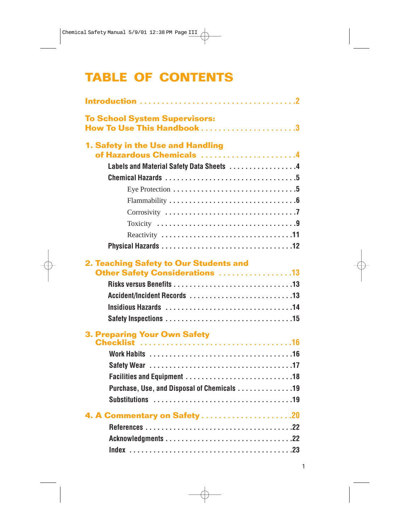# **TABLE OF CONTENTS**

| <b>To School System Supervisors:</b><br>How To Use This Handbook 3       |  |  |  |  |
|--------------------------------------------------------------------------|--|--|--|--|
| 1. Safety in the Use and Handling<br>of Hazardous Chemicals 4            |  |  |  |  |
| Labels and Material Safety Data Sheets 4                                 |  |  |  |  |
|                                                                          |  |  |  |  |
|                                                                          |  |  |  |  |
|                                                                          |  |  |  |  |
|                                                                          |  |  |  |  |
|                                                                          |  |  |  |  |
|                                                                          |  |  |  |  |
|                                                                          |  |  |  |  |
| 2. Teaching Safety to Our Students and<br>Other Safety Considerations 13 |  |  |  |  |
| <b>3. Preparing Your Own Safety</b>                                      |  |  |  |  |
|                                                                          |  |  |  |  |
|                                                                          |  |  |  |  |
|                                                                          |  |  |  |  |
| Purchase, Use, and Disposal of Chemicals 19                              |  |  |  |  |
|                                                                          |  |  |  |  |
|                                                                          |  |  |  |  |
|                                                                          |  |  |  |  |
|                                                                          |  |  |  |  |
|                                                                          |  |  |  |  |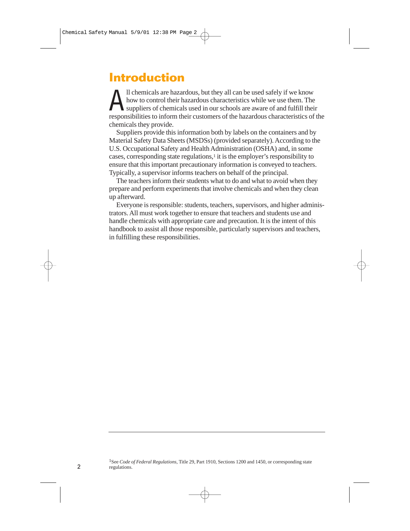## **Introduction**

All chemicals are hazardous, but they all can be used safely if we know<br>how to control their hazardous characteristics while we use them. The<br>suppliers of chemicals used in our schools are aware of and fulfill their<br>respon how to control their hazardous characteristics while we use them. The responsibilities to inform their customers of the hazardous characteristics of the chemicals they provide.

Suppliers provide this information both by labels on the containers and by Material Safety Data Sheets (MSDSs) (provided separately). According to the U.S. Occupational Safety and Health Administration (OSHA) and, in some cases, corresponding state regulations,<sup>1</sup> it is the employer's responsibility to ensure that this important precautionary information is conveyed to teachers. Typically, a supervisor informs teachers on behalf of the principal.

The teachers inform their students what to do and what to avoid when they prepare and perform experiments that involve chemicals and when they clean up afterward.

Everyone is responsible: students, teachers, supervisors, and higher administrators. All must work together to ensure that teachers and students use and handle chemicals with appropriate care and precaution. It is the intent of this handbook to assist all those responsible, particularly supervisors and teachers, in fulfilling these responsibilities.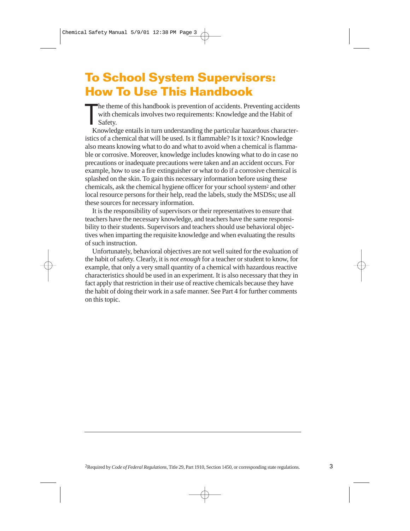# **To School System Supervisors: How To Use This Handbook**

 $\prod_{\kappa_1}$ he theme of this handbook is prevention of accidents. Preventing accidents with chemicals involves two requirements: Knowledge and the Habit of Safety.

Knowledge entails in turn understanding the particular hazardous characteristics of a chemical that will be used. Is it flammable? Is it toxic? Knowledge also means knowing what to do and what to avoid when a chemical is flammable or corrosive. Moreover, knowledge includes knowing what to do in case no precautions or inadequate precautions were taken and an accident occurs. For example, how to use a fire extinguisher or what to do if a corrosive chemical is splashed on the skin. To gain this necessary information before using these chemicals, ask the chemical hygiene officer for your school system2 and other local resource persons for their help, read the labels, study the MSDSs; use all these sources for necessary information.

It is the responsibility of supervisors or their representatives to ensure that teachers have the necessary knowledge, and teachers have the same responsibility to their students. Supervisors and teachers should use behavioral objectives when imparting the requisite knowledge and when evaluating the results of such instruction.

Unfortunately, behavioral objectives are not well suited for the evaluation of the habit of safety. Clearly, it is *not enough* for a teacher or student to know, for example, that only a very small quantity of a chemical with hazardous reactive characteristics should be used in an experiment. It is also necessary that they in fact apply that restriction in their use of reactive chemicals because they have the habit of doing their work in a safe manner. See Part 4 for further comments on this topic.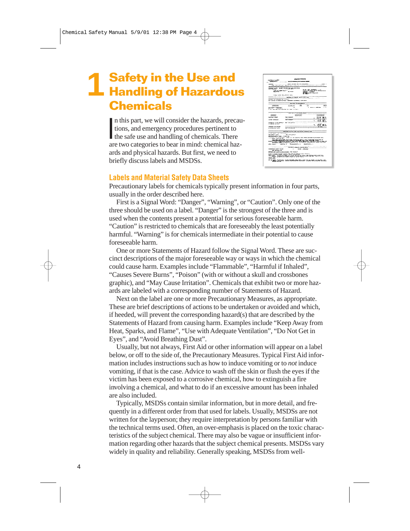### **Safety in the Use and Handling of Hazardous Chemicals 1**

In this part, we will consider the hazards, precains<br>tions, and emergency procedures pertinent to<br>the safe use and handling of chemicals. There<br>are two categories to bear in mind: chemical has n this part, we will consider the hazards, precautions, and emergency procedures pertinent to are two categories to bear in mind: chemical hazards and physical hazards. But first, we need to briefly discuss labels and MSDSs.



#### **Labels and Material Safety Data Sheets**

Precautionary labels for chemicals typically present information in four parts, usually in the order described here.

First is a Signal Word: "Danger", "Warning", or "Caution". Only one of the three should be used on a label. "Danger" is the strongest of the three and is used when the contents present a potential for serious foreseeable harm. "Caution" is restricted to chemicals that are foreseeably the least potentially harmful. "Warning" is for chemicals intermediate in their potential to cause foreseeable harm.

One or more Statements of Hazard follow the Signal Word. These are succinct descriptions of the major foreseeable way or ways in which the chemical could cause harm. Examples include "Flammable", "Harmful if Inhaled", "Causes Severe Burns", "Poison" (with or without a skull and crossbones graphic), and "May Cause Irritation". Chemicals that exhibit two or more hazards are labeled with a corresponding number of Statements of Hazard.

Next on the label are one or more Precautionary Measures, as appropriate. These are brief descriptions of actions to be undertaken or avoided and which, if heeded, will prevent the corresponding hazard(s) that are described by the Statements of Hazard from causing harm. Examples include "Keep Away from Heat, Sparks, and Flame", "Use with Adequate Ventilation", "Do Not Get in Eyes", and "Avoid Breathing Dust".

Usually, but not always, First Aid or other information will appear on a label below, or off to the side of, the Precautionary Measures. Typical First Aid information includes instructions such as how to induce vomiting or to *not* induce vomiting, if that is the case. Advice to wash off the skin or flush the eyes if the victim has been exposed to a corrosive chemical, how to extinguish a fire involving a chemical, and what to do if an excessive amount has been inhaled are also included.

Typically, MSDSs contain similar information, but in more detail, and frequently in a different order from that used for labels. Usually, MSDSs are not written for the layperson; they require interpretation by persons familiar with the technical terms used. Often, an over-emphasis is placed on the toxic characteristics of the subject chemical. There may also be vague or insufficient information regarding other hazards that the subject chemical presents. MSDSs vary widely in quality and reliability. Generally speaking, MSDSs from well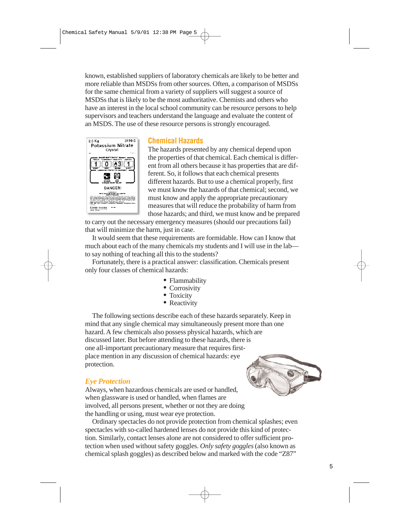known, established suppliers of laboratory chemicals are likely to be better and more reliable than MSDSs from other sources. Often, a comparison of MSDSs for the same chemical from a variety of suppliers will suggest a source of MSDSs that is likely to be the most authoritative. Chemists and others who have an interest in the local school community can be resource persons to help supervisors and teachers understand the language and evaluate the content of an MSDS. The use of these resource persons is strongly encouraged.



#### **Chemical Hazards**

The hazards presented by any chemical depend upon the properties of that chemical. Each chemical is different from all others because it has properties that are different. So, it follows that each chemical presents different hazards. But to use a chemical properly, first we must know the hazards of that chemical; second, we must know and apply the appropriate precautionary measures that will reduce the probability of harm from those hazards; and third, we must know and be prepared

to carry out the necessary emergency measures (should our precautions fail) that will minimize the harm, just in case.

It would seem that these requirements are formidable. How can I know that much about each of the many chemicals my students and I will use in the lab to say nothing of teaching all this to the students?

Fortunately, there is a practical answer: classification. Chemicals present only four classes of chemical hazards:

- Flammability
- Corrosivity
- Toxicity
- Reactivity

The following sections describe each of these hazards separately. Keep in mind that any single chemical may simultaneously present more than one hazard. A few chemicals also possess physical hazards, which are discussed later. But before attending to these hazards, there is one all-important precautionary measure that requires firstplace mention in any discussion of chemical hazards: eye protection.

#### *Eye Protection*

Always, when hazardous chemicals are used or handled, when glassware is used or handled, when flames are involved, all persons present, whether or not they are doing the handling or using, must wear eye protection.

Ordinary spectacles do not provide protection from chemical splashes; even spectacles with so-called hardened lenses do not provide this kind of protection. Similarly, contact lenses alone are not considered to offer sufficient protection when used without safety goggles. *Only safety goggles* (also known as chemical splash goggles) as described below and marked with the code "Z87"

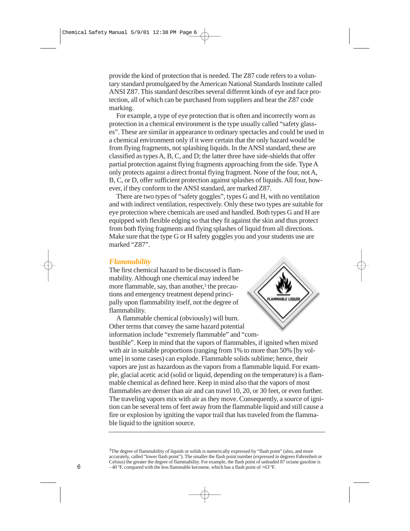provide the kind of protection that is needed. The Z87 code refers to a voluntary standard promulgated by the American National Standards Institute called ANSI Z87. This standard describes several different kinds of eye and face protection, all of which can be purchased from suppliers and bear the Z87 code marking.

For example, a type of eye protection that is often and incorrectly worn as protection in a chemical environment is the type usually called "safety glasses". These are similar in appearance to ordinary spectacles and could be used in a chemical environment only if it were certain that the only hazard would be from flying fragments, not splashing liquids. In the ANSI standard, these are classified as types A, B, C, and D; the latter three have side-shields that offer partial protection against flying fragments approaching from the side. Type A only protects against a direct frontal flying fragment. None of the four, not A, B, C, or D, offer sufficient protection against splashes of liquids. All four, however, if they conform to the ANSI standard, are marked Z87.

There are two types of "safety goggles", types G and H, with no ventilation and with indirect ventilation, respectively. Only these two types are suitable for eye protection where chemicals are used and handled. Both types G and H are equipped with flexible edging so that they fit against the skin and thus protect from both flying fragments and flying splashes of liquid from all directions. Make sure that the type G or H safety goggles you and your students use are marked "Z87".

#### *Flammability*

The first chemical hazard to be discussed is flammability. Although one chemical may indeed be more flammable, say, than another,<sup>3</sup> the precautions and emergency treatment depend principally upon flammability itself, not the degree of flammability.

A flammable chemical (obviously) will burn. Other terms that convey the same hazard potential information include "extremely flammable" and "com-



bustible". Keep in mind that the vapors of flammables, if ignited when mixed with air in suitable proportions (ranging from 1% to more than 50% [by volume] in some cases) can explode. Flammable solids sublime; hence, their vapors are just as hazardous as the vapors from a flammable liquid. For example, glacial acetic acid (solid or liquid, depending on the temperature) is a flammable chemical as defined here. Keep in mind also that the vapors of most flammables are denser than air and can travel 10, 20, or 30 feet, or even further. The traveling vapors mix with air as they move. Consequently, a source of ignition can be several tens of feet away from the flammable liquid and still cause a fire or explosion by igniting the vapor trail that has traveled from the flammable liquid to the ignition source.

<sup>&</sup>lt;sup>3</sup>The degree of flammability of liquids or solids is numerically expressed by "flash point" (also, and more accurately, called "lower flash point"). The smaller the flash point number (expressed in degrees Fahrenheit or Celsius) the greater the degree of flammability. For example, the flash point of unleaded 87 octane gasoline is  $-40$  °F, compared with the less flammable kerosene, which has a flash point of  $+63$  °F.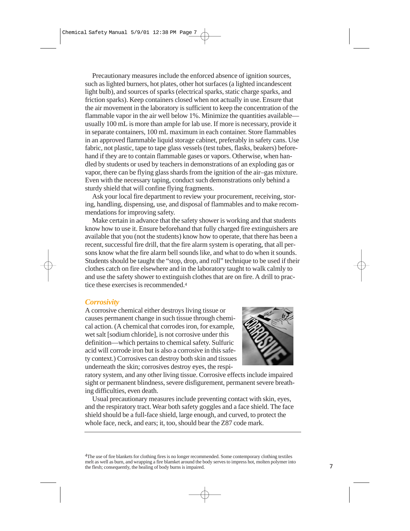Precautionary measures include the enforced absence of ignition sources, such as lighted burners, hot plates, other hot surfaces (a lighted incandescent light bulb), and sources of sparks (electrical sparks, static charge sparks, and friction sparks). Keep containers closed when not actually in use. Ensure that the air movement in the laboratory is sufficient to keep the concentration of the flammable vapor in the air well below 1%. Minimize the quantities available usually 100 mL is more than ample for lab use. If more is necessary, provide it in separate containers, 100 mL maximum in each container. Store flammables in an approved flammable liquid storage cabinet, preferably in safety cans. Use fabric, not plastic, tape to tape glass vessels (test tubes, flasks, beakers) beforehand if they are to contain flammable gases or vapors. Otherwise, when handled by students or used by teachers in demonstrations of an exploding gas or vapor, there can be flying glass shards from the ignition of the air–gas mixture. Even with the necessary taping, conduct such demonstrations only behind a sturdy shield that will confine flying fragments.

Ask your local fire department to review your procurement, receiving, storing, handling, dispensing, use, and disposal of flammables and to make recommendations for improving safety.

Make certain in advance that the safety shower is working and that students know how to use it. Ensure beforehand that fully charged fire extinguishers are available that you (not the students) know how to operate, that there has been a recent, successful fire drill, that the fire alarm system is operating, that all persons know what the fire alarm bell sounds like, and what to do when it sounds. Students should be taught the "stop, drop, and roll" technique to be used if their clothes catch on fire elsewhere and in the laboratory taught to walk calmly to and use the safety shower to extinguish clothes that are on fire. A drill to practice these exercises is recommended.4

#### *Corrosivity*

A corrosive chemical either destroys living tissue or causes permanent change in such tissue through chemical action. (A chemical that corrodes iron, for example, wet salt [sodium chloride], is not corrosive under this definition—which pertains to chemical safety. Sulfuric acid will corrode iron but is also a corrosive in this safety context.) Corrosives can destroy both skin and tissues underneath the skin; corrosives destroy eyes, the respi-



ratory system, and any other living tissue. Corrosive effects include impaired sight or permanent blindness, severe disfigurement, permanent severe breathing difficulties, even death.

Usual precautionary measures include preventing contact with skin, eyes, and the respiratory tract. Wear both safety goggles and a face shield. The face shield should be a full-face shield, large enough, and curved, to protect the whole face, neck, and ears; it, too, should bear the Z87 code mark.

4The use of fire blankets for clothing fires is no longer recommended. Some contemporary clothing textiles melt as well as burn, and wrapping a fire blamket around the body serves to impress hot, molten polymer into the flesh; consequently, the healing of body burns is impaired.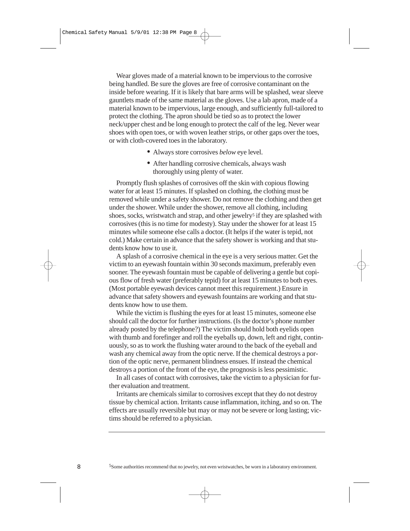Wear gloves made of a material known to be impervious to the corrosive being handled. Be sure the gloves are free of corrosive contaminant on the inside before wearing. If it is likely that bare arms will be splashed, wear sleeve gauntlets made of the same material as the gloves. Use a lab apron, made of a material known to be impervious, large enough, and sufficiently full-tailored to protect the clothing. The apron should be tied so as to protect the lower neck/upper chest and be long enough to protect the calf of the leg. Never wear shoes with open toes, or with woven leather strips, or other gaps over the toes, or with cloth-covered toes in the laboratory.

- Always store corrosives *below* eye level.
- After handling corrosive chemicals, always wash thoroughly using plenty of water.

Promptly flush splashes of corrosives off the skin with copious flowing water for at least 15 minutes. If splashed on clothing, the clothing must be removed while under a safety shower. Do not remove the clothing and then get under the shower. While under the shower, remove all clothing, including shoes, socks, wristwatch and strap, and other jewelry<sup>5</sup> if they are splashed with corrosives (this is no time for modesty). Stay under the shower for at least 15 minutes while someone else calls a doctor. (It helps if the water is tepid, not cold.) Make certain in advance that the safety shower is working and that students know how to use it.

A splash of a corrosive chemical in the eye is a very serious matter. Get the victim to an eyewash fountain within 30 seconds maximum, preferably even sooner. The eyewash fountain must be capable of delivering a gentle but copious flow of fresh water (preferably tepid) for at least 15 minutes to both eyes. (Most portable eyewash devices cannot meet this requirement.) Ensure in advance that safety showers and eyewash fountains are working and that students know how to use them.

While the victim is flushing the eyes for at least 15 minutes, someone else should call the doctor for further instructions. (Is the doctor's phone number already posted by the telephone?) The victim should hold both eyelids open with thumb and forefinger and roll the eyeballs up, down, left and right, continuously, so as to work the flushing water around to the back of the eyeball and wash any chemical away from the optic nerve. If the chemical destroys a portion of the optic nerve, permanent blindness ensues. If instead the chemical destroys a portion of the front of the eye, the prognosis is less pessimistic.

In all cases of contact with corrosives, take the victim to a physician for further evaluation and treatment.

Irritants are chemicals similar to corrosives except that they do not destroy tissue by chemical action. Irritants cause inflammation, itching, and so on. The effects are usually reversible but may or may not be severe or long lasting; victims should be referred to a physician.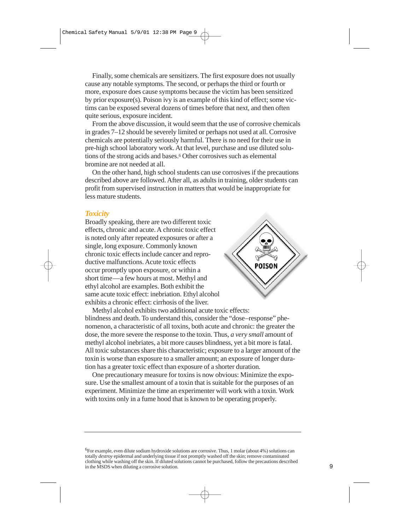Finally, some chemicals are sensitizers. The first exposure does not usually cause any notable symptoms. The second, or perhaps the third or fourth or more, exposure does cause symptoms because the victim has been sensitized by prior exposure(s). Poison ivy is an example of this kind of effect; some victims can be exposed several dozens of times before that next, and then often quite serious, exposure incident.

From the above discussion, it would seem that the use of corrosive chemicals in grades 7–12 should be severely limited or perhaps not used at all. Corrosive chemicals are potentially seriously harmful. There is no need for their use in pre-high school laboratory work. At that level, purchase and use diluted solutions of the strong acids and bases.<sup>6</sup> Other corrosives such as elemental bromine are not needed at all.

On the other hand, high school students can use corrosives if the precautions described above are followed. After all, as adults in training, older students can profit from supervised instruction in matters that would be inappropriate for less mature students.

#### *Toxicity*

Broadly speaking, there are two different toxic effects, chronic and acute. A chronic toxic effect is noted only after repeated exposures or after a single, long exposure. Commonly known chronic toxic effects include cancer and reproductive malfunctions. Acute toxic effects occur promptly upon exposure, or within a short time—a few hours at most. Methyl and ethyl alcohol are examples. Both exhibit the same acute toxic effect: inebriation. Ethyl alcohol exhibits a chronic effect: cirrhosis of the liver.



Methyl alcohol exhibits two additional acute toxic effects: blindness and death. To understand this, consider the "dose–response" phenomenon, a characteristic of all toxins, both acute and chronic: the greater the dose, the more severe the response to the toxin. Thus, *a very small* amount of methyl alcohol inebriates, a bit more causes blindness, yet a bit more is fatal. All toxic substances share this characteristic; exposure to a larger amount of the toxin is worse than exposure to a smaller amount; an exposure of longer duration has a greater toxic effect than exposure of a shorter duration.

One precautionary measure for toxins is now obvious: Minimize the exposure. Use the smallest amount of a toxin that is suitable for the purposes of an experiment. Minimize the time an experimenter will work with a toxin. Work with toxins only in a fume hood that is known to be operating properly.

6For example, even dilute sodium hydroxide solutions are corrosive. Thus, 1 molar (about 4%) solutions can totally *destroy* epidermal and underlying tissue if not promptly washed off the skin; remove contaminated clothing while washing off the skin. If diluted solutions cannot be purchased, follow the precautions described in the MSDS when diluting a corrosive solution.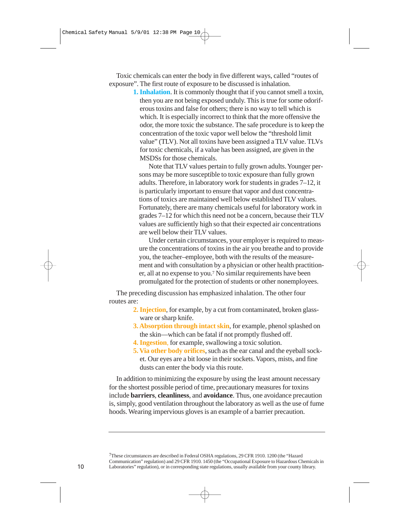Toxic chemicals can enter the body in five different ways, called "routes of exposure". The first route of exposure to be discussed is inhalation.

**1. Inhalation**. It is commonly thought that if you cannot smell a toxin, then you are not being exposed unduly. This is true for some odoriferous toxins and false for others; there is no way to tell which is which. It is especially incorrect to think that the more offensive the odor, the more toxic the substance. The safe procedure is to keep the concentration of the toxic vapor well below the "threshold limit value" (TLV). Not all toxins have been assigned a TLV value. TLVs for toxic chemicals, if a value has been assigned, are given in the MSDSs for those chemicals.

Note that TLV values pertain to fully grown adults. Younger persons may be more susceptible to toxic exposure than fully grown adults. Therefore, in laboratory work for students in grades 7–12, it is particularly important to ensure that vapor and dust concentrations of toxics are maintained well below established TLV values. Fortunately, there are many chemicals useful for laboratory work in grades 7–12 for which this need not be a concern, because their TLV values are sufficiently high so that their expected air concentrations are well below their TLV values.

Under certain circumstances, your employer is required to measure the concentrations of toxins in the air you breathe and to provide you, the teacher–employee, both with the results of the measurement and with consultation by a physician or other health practitioner, all at no expense to you.7 No similar requirements have been promulgated for the protection of students or other nonemployees.

The preceding discussion has emphasized inhalation. The other four routes are:

- **2. Injection**, for example, by a cut from contaminated, broken glassware or sharp knife.
- **3. Absorption through intact skin**, for example, phenol splashed on the skin—which can be fatal if not promptly flushed off.
- **4. Ingestion**, for example, swallowing a toxic solution.
- **5. Via other body orifices**, such as the ear canal and the eyeball socket. Our eyes are a bit loose in their sockets. Vapors, mists, and fine dusts can enter the body via this route.

In addition to minimizing the exposure by using the least amount necessary for the shortest possible period of time, precautionary measures for toxins include **barriers**, **cleanliness**, and **avoidance**. Thus, one avoidance precaution is, simply, good ventilation throughout the laboratory as well as the use of fume hoods. Wearing impervious gloves is an example of a barrier precaution.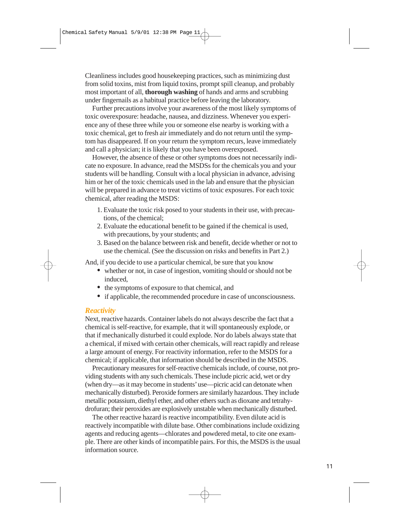Cleanliness includes good housekeeping practices, such as minimizing dust from solid toxins, mist from liquid toxins, prompt spill cleanup, and probably most important of all, **thorough washing** of hands and arms and scrubbing under fingernails as a habitual practice before leaving the laboratory.

Further precautions involve your awareness of the most likely symptoms of toxic overexposure: headache, nausea, and dizziness. Whenever you experience any of these three while you or someone else nearby is working with a toxic chemical, get to fresh air immediately and do not return until the symptom has disappeared. If on your return the symptom recurs, leave immediately and call a physician; it is likely that you have been overexposed.

However, the absence of these or other symptoms does not necessarily indicate no exposure. In advance, read the MSDSs for the chemicals you and your students will be handling. Consult with a local physician in advance, advising him or her of the toxic chemicals used in the lab and ensure that the physician will be prepared in advance to treat victims of toxic exposures. For each toxic chemical, after reading the MSDS:

- 1. Evaluate the toxic risk posed to your students in their use, with precautions, of the chemical;
- 2. Evaluate the educational benefit to be gained if the chemical is used, with precautions, by your students; and
- 3. Based on the balance between risk and benefit, decide whether or not to use the chemical. (See the discussion on risks and benefits in Part 2.)

And, if you decide to use a particular chemical, be sure that you know

- whether or not, in case of ingestion, vomiting should or should not be induced,
- the symptoms of exposure to that chemical, and
- if applicable, the recommended procedure in case of unconsciousness.

#### *Reactivity*

Next, reactive hazards. Container labels do not always describe the fact that a chemical is self-reactive, for example, that it will spontaneously explode, or that if mechanically disturbed it could explode. Nor do labels always state that a chemical, if mixed with certain other chemicals, will react rapidly and release a large amount of energy. For reactivity information, refer to the MSDS for a chemical; if applicable, that information should be described in the MSDS.

Precautionary measures for self-reactive chemicals include, of course, not providing students with any such chemicals. These include picric acid, wet or dry (when dry—as it may become in students'use—picric acid can detonate when mechanically disturbed). Peroxide formers are similarly hazardous. They include metallic potassium, diethyl ether, and other ethers such as dioxane and tetrahydrofuran; their peroxides are explosively unstable when mechanically disturbed.

The other reactive hazard is reactive incompatibility. Even dilute acid is reactively incompatible with dilute base. Other combinations include oxidizing agents and reducing agents—chlorates and powdered metal, to cite one example. There are other kinds of incompatible pairs. For this, the MSDS is the usual information source.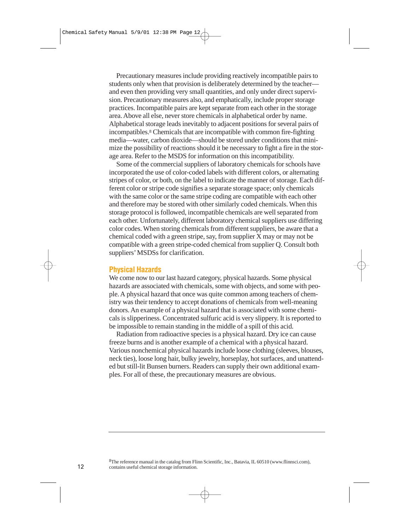Precautionary measures include providing reactively incompatible pairs to students only when that provision is deliberately determined by the teacher and even then providing very small quantities, and only under direct supervision. Precautionary measures also, and emphatically, include proper storage practices. Incompatible pairs are kept separate from each other in the storage area. Above all else, never store chemicals in alphabetical order by name. Alphabetical storage leads inevitably to adjacent positions for several pairs of incompatibles.8 Chemicals that are incompatible with common fire-fighting media—water, carbon dioxide—should be stored under conditions that minimize the possibility of reactions should it be necessary to fight a fire in the storage area. Refer to the MSDS for information on this incompatibility.

Some of the commercial suppliers of laboratory chemicals for schools have incorporated the use of color-coded labels with different colors, or alternating stripes of color, or both, on the label to indicate the manner of storage. Each different color or stripe code signifies a separate storage space; only chemicals with the same color or the same stripe coding are compatible with each other and therefore may be stored with other similarly coded chemicals. When this storage protocol is followed, incompatible chemicals are well separated from each other. Unfortunately, different laboratory chemical suppliers use differing color codes. When storing chemicals from different suppliers, be aware that a chemical coded with a green stripe, say, from supplier  $\overline{X}$  may or may not be compatible with a green stripe-coded chemical from supplier Q. Consult both suppliers' MSDSs for clarification.

#### **Physical Hazards**

We come now to our last hazard category, physical hazards. Some physical hazards are associated with chemicals, some with objects, and some with people. A physical hazard that once was quite common among teachers of chemistry was their tendency to accept donations of chemicals from well-meaning donors. An example of a physical hazard that is associated with some chemicals is slipperiness. Concentrated sulfuric acid is very slippery. It is reported to be impossible to remain standing in the middle of a spill of this acid.

Radiation from radioactive species is a physical hazard. Dry ice can cause freeze burns and is another example of a chemical with a physical hazard. Various nonchemical physical hazards include loose clothing (sleeves, blouses, neck ties), loose long hair, bulky jewelry, horseplay, hot surfaces, and unattended but still-lit Bunsen burners. Readers can supply their own additional examples. For all of these, the precautionary measures are obvious.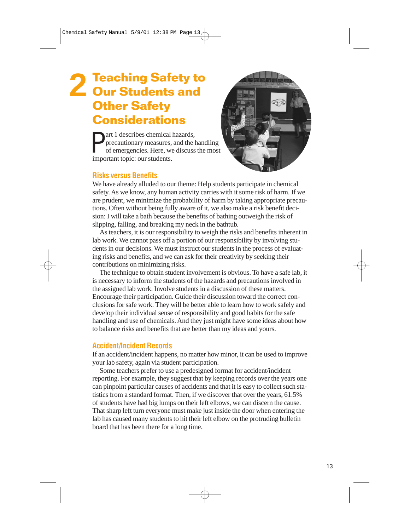# **2 Teaching Safety to Our Students and Other Safety Considerations**

**P** art 1 describes chemical<br>precautionary measures,<br>of emergencies. Here, we<br>important topic: our students. art 1 describes chemical hazards, precautionary measures, and the handling of emergencies. Here, we discuss the most



#### **Risks versus Benefits**

We have already alluded to our theme: Help students participate in chemical safety. As we know, any human activity carries with it some risk of harm. If we are prudent, we minimize the probability of harm by taking appropriate precautions. Often without being fully aware of it, we also make a risk benefit decision: I will take a bath because the benefits of bathing outweigh the risk of slipping, falling, and breaking my neck in the bathtub.

As teachers, it is our responsibility to weigh the risks and benefits inherent in lab work. We cannot pass off a portion of our responsibility by involving students in our decisions. We must instruct our students in the process of evaluating risks and benefits, and we can ask for their creativity by seeking their contributions on minimizing risks.

The technique to obtain student involvement is obvious. To have a safe lab, it is necessary to inform the students of the hazards and precautions involved in the assigned lab work. Involve students in a discussion of these matters. Encourage their participation. Guide their discussion toward the correct conclusions for safe work. They will be better able to learn how to work safely and develop their individual sense of responsibility and good habits for the safe handling and use of chemicals. And they just might have some ideas about how to balance risks and benefits that are better than my ideas and yours.

#### **Accident/Incident Records**

If an accident/incident happens, no matter how minor, it can be used to improve your lab safety, again via student participation.

Some teachers prefer to use a predesigned format for accident/incident reporting. For example, they suggest that by keeping records over the years one can pinpoint particular causes of accidents and that it is easy to collect such statistics from a standard format. Then, if we discover that over the years, 61.5% of students have had big lumps on their left elbows, we can discern the cause. That sharp left turn everyone must make just inside the door when entering the lab has caused many students to hit their left elbow on the protruding bulletin board that has been there for a long time.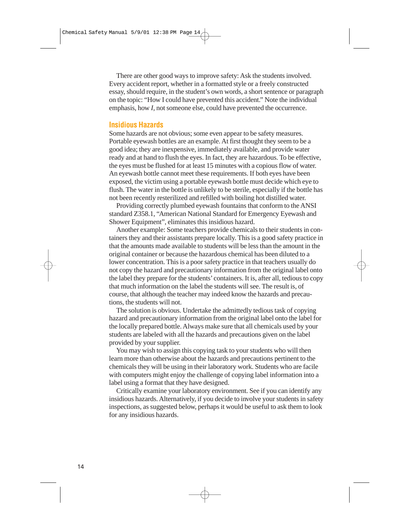There are other good ways to improve safety: Ask the students involved. Every accident report, whether in a formatted style or a freely constructed essay, should require, in the student's own words, a short sentence or paragraph on the topic: "How I could have prevented this accident." Note the individual emphasis, how *I*, not someone else, could have prevented the occurrence.

#### **Insidious Hazards**

Some hazards are not obvious; some even appear to be safety measures. Portable eyewash bottles are an example. At first thought they seem to be a good idea; they are inexpensive, immediately available, and provide water ready and at hand to flush the eyes. In fact, they are hazardous. To be effective, the eyes must be flushed for at least 15 minutes with a copious flow of water. An eyewash bottle cannot meet these requirements. If both eyes have been exposed, the victim using a portable eyewash bottle must decide which eye to flush. The water in the bottle is unlikely to be sterile, especially if the bottle has not been recently resterilized and refilled with boiling hot distilled water.

Providing correctly plumbed eyewash fountains that conform to the ANSI standard Z358.1, "American National Standard for Emergency Eyewash and Shower Equipment", eliminates this insidious hazard.

Another example: Some teachers provide chemicals to their students in containers they and their assistants prepare locally. This is a good safety practice in that the amounts made available to students will be less than the amount in the original container or because the hazardous chemical has been diluted to a lower concentration. This is a poor safety practice in that teachers usually do not copy the hazard and precautionary information from the original label onto the label they prepare for the students'containers. It is, after all, tedious to copy that much information on the label the students will see. The result is, of course, that although the teacher may indeed know the hazards and precautions, the students will not.

The solution is obvious. Undertake the admittedly tedious task of copying hazard and precautionary information from the original label onto the label for the locally prepared bottle. Always make sure that all chemicals used by your students are labeled with all the hazards and precautions given on the label provided by your supplier.

You may wish to assign this copying task to your students who will then learn more than otherwise about the hazards and precautions pertinent to the chemicals they will be using in their laboratory work. Students who are facile with computers might enjoy the challenge of copying label information into a label using a format that they have designed.

Critically examine your laboratory environment. See if you can identify any insidious hazards. Alternatively, if you decide to involve your students in safety inspections, as suggested below, perhaps it would be useful to ask them to look for any insidious hazards.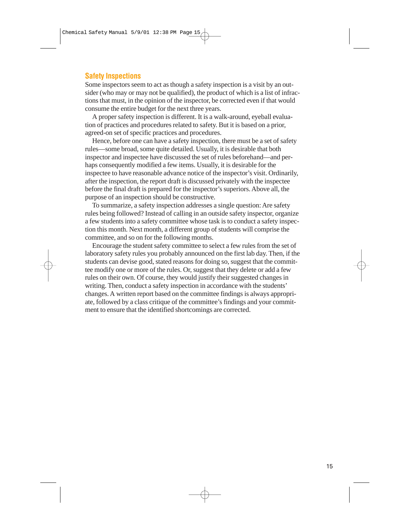#### **Safety Inspections**

Some inspectors seem to act as though a safety inspection is a visit by an outsider (who may or may not be qualified), the product of which is a list of infractions that must, in the opinion of the inspector, be corrected even if that would consume the entire budget for the next three years.

A proper safety inspection is different. It is a walk-around, eyeball evaluation of practices and procedures related to safety. But it is based on a prior, agreed-on set of specific practices and procedures.

Hence, before one can have a safety inspection, there must be a set of safety rules—some broad, some quite detailed. Usually, it is desirable that both inspector and inspectee have discussed the set of rules beforehand—and perhaps consequently modified a few items. Usually, it is desirable for the inspectee to have reasonable advance notice of the inspector's visit. Ordinarily, after the inspection, the report draft is discussed privately with the inspectee before the final draft is prepared for the inspector's superiors. Above all, the purpose of an inspection should be constructive.

To summarize, a safety inspection addresses a single question: Are safety rules being followed? Instead of calling in an outside safety inspector, organize a few students into a safety committee whose task is to conduct a safety inspection this month. Next month, a different group of students will comprise the committee, and so on for the following months.

Encourage the student safety committee to select a few rules from the set of laboratory safety rules you probably announced on the first lab day. Then, if the students can devise good, stated reasons for doing so, suggest that the committee modify one or more of the rules. Or, suggest that they delete or add a few rules on their own. Of course, they would justify their suggested changes in writing. Then, conduct a safety inspection in accordance with the students' changes. A written report based on the committee findings is always appropriate, followed by a class critique of the committee's findings and your commitment to ensure that the identified shortcomings are corrected.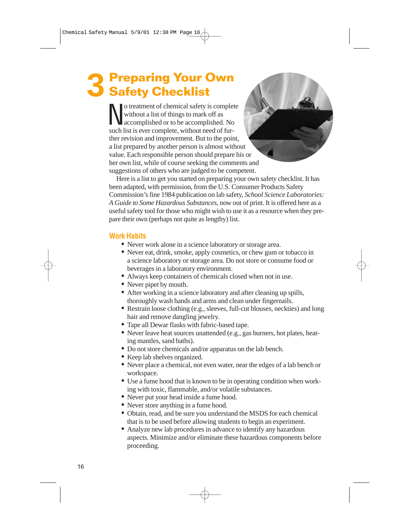# **3 Preparing Your Own Safety Checklist**

No treatment of chemical safety is complete<br>without a list of things to mark off as<br>accomplished or to be accomplished. No<br>such list is ever complete without need of furwithout a list of things to mark off as such list is ever complete, without need of further revision and improvement. But to the point, a list prepared by another person is almost without value. Each responsible person should prepare his or her own list, while of course seeking the comments and suggestions of others who are judged to be competent.

Here is a list to get you started on preparing your own safety checklist. It has been adapted, with permission, from the U.S. Consumer Products Safety Commission's fine 1984 publication on lab safety, *School Science Laboratories: A Guide to Some Hazardous Substances*, now out of print. It is offered here as a useful safety tool for those who might wish to use it as a resource when they prepare their own (perhaps not quite as lengthy) list.

#### **Work Habits**

- Never work alone in a science laboratory or storage area.
- Never eat, drink, smoke, apply cosmetics, or chew gum or tobacco in a science laboratory or storage area. Do not store or consume food or beverages in a laboratory environment.
- Always keep containers of chemicals closed when not in use.
- Never pipet by mouth.
- After working in a science laboratory and after cleaning up spills, thoroughly wash hands and arms and clean under fingernails.
- Restrain loose clothing (e.g., sleeves, full-cut blouses, neckties) and long hair and remove dangling jewelry.
- Tape all Dewar flasks with fabric-based tape.
- Never leave heat sources unattended (e.g., gas burners, hot plates, heating mantles, sand baths).
- Do not store chemicals and/or apparatus on the lab bench.
- Keep lab shelves organized.
- Never place a chemical, not even water, near the edges of a lab bench or workspace.
- Use a fume hood that is known to be in operating condition when working with toxic, flammable, and/or volatile substances.
- Never put your head inside a fume hood.
- Never store anything in a fume hood.
- Obtain, read, and be sure you understand the MSDS for each chemical that is to be used before allowing students to begin an experiment.
- Analyze new lab procedures in advance to identify any hazardous aspects. Minimize and/or eliminate these hazardous components before proceeding.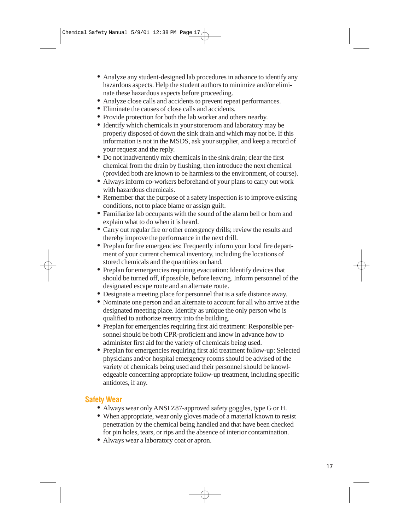- Analyze any student-designed lab procedures in advance to identify any hazardous aspects. Help the student authors to minimize and/or eliminate these hazardous aspects before proceeding.
- Analyze close calls and accidents to prevent repeat performances.
- Eliminate the causes of close calls and accidents.
- Provide protection for both the lab worker and others nearby.
- Identify which chemicals in your storeroom and laboratory may be properly disposed of down the sink drain and which may not be. If this information is not in the MSDS, ask your supplier, and keep a record of your request and the reply.
- Do not inadvertently mix chemicals in the sink drain; clear the first chemical from the drain by flushing, then introduce the next chemical (provided both are known to be harmless to the environment, of course).
- Always inform co-workers beforehand of your plans to carry out work with hazardous chemicals.
- Remember that the purpose of a safety inspection is to improve existing conditions, not to place blame or assign guilt.
- Familiarize lab occupants with the sound of the alarm bell or horn and explain what to do when it is heard.
- Carry out regular fire or other emergency drills; review the results and thereby improve the performance in the next drill.
- Preplan for fire emergencies: Frequently inform your local fire department of your current chemical inventory, including the locations of stored chemicals and the quantities on hand.
- Preplan for emergencies requiring evacuation: Identify devices that should be turned off, if possible, before leaving. Inform personnel of the designated escape route and an alternate route.
- Designate a meeting place for personnel that is a safe distance away.
- Nominate one person and an alternate to account for all who arrive at the designated meeting place. Identify as unique the only person who is qualified to authorize reentry into the building.
- Preplan for emergencies requiring first aid treatment: Responsible personnel should be both CPR-proficient and know in advance how to administer first aid for the variety of chemicals being used.
- Preplan for emergencies requiring first aid treatment follow-up: Selected physicians and/or hospital emergency rooms should be advised of the variety of chemicals being used and their personnel should be knowledgeable concerning appropriate follow-up treatment, including specific antidotes, if any.

#### **Safety Wear**

- Always wear only ANSI Z87-approved safety goggles, type G or H.
- When appropriate, wear only gloves made of a material known to resist penetration by the chemical being handled and that have been checked for pin holes, tears, or rips and the absence of interior contamination.
- Always wear a laboratory coat or apron.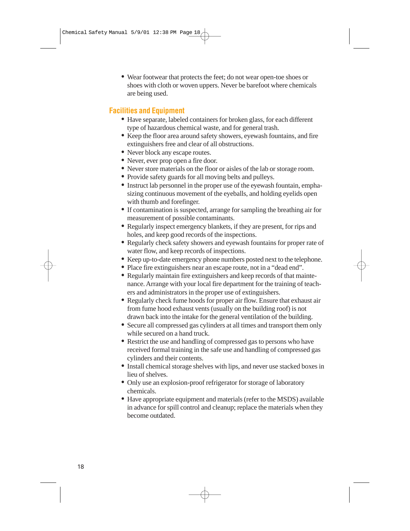• Wear footwear that protects the feet; do not wear open-toe shoes or shoes with cloth or woven uppers. Never be barefoot where chemicals are being used.

#### **Facilities and Equipment**

- Have separate, labeled containers for broken glass, for each different type of hazardous chemical waste, and for general trash.
- Keep the floor area around safety showers, eyewash fountains, and fire extinguishers free and clear of all obstructions.
- Never block any escape routes.
- Never, ever prop open a fire door.
- Never store materials on the floor or aisles of the lab or storage room.
- Provide safety guards for all moving belts and pulleys.
- Instruct lab personnel in the proper use of the eyewash fountain, emphasizing continuous movement of the eyeballs, and holding eyelids open with thumb and forefinger.
- If contamination is suspected, arrange for sampling the breathing air for measurement of possible contaminants.
- Regularly inspect emergency blankets, if they are present, for rips and holes, and keep good records of the inspections.
- Regularly check safety showers and eyewash fountains for proper rate of water flow, and keep records of inspections.
- Keep up-to-date emergency phone numbers posted next to the telephone.
- Place fire extinguishers near an escape route, not in a "dead end".
- Regularly maintain fire extinguishers and keep records of that maintenance. Arrange with your local fire department for the training of teachers and administrators in the proper use of extinguishers.
- Regularly check fume hoods for proper air flow. Ensure that exhaust air from fume hood exhaust vents (usually on the building roof) is not drawn back into the intake for the general ventilation of the building.
- Secure all compressed gas cylinders at all times and transport them only while secured on a hand truck.
- Restrict the use and handling of compressed gas to persons who have received formal training in the safe use and handling of compressed gas cylinders and their contents.
- Install chemical storage shelves with lips, and never use stacked boxes in lieu of shelves.
- Only use an explosion-proof refrigerator for storage of laboratory chemicals.
- Have appropriate equipment and materials (refer to the MSDS) available in advance for spill control and cleanup; replace the materials when they become outdated.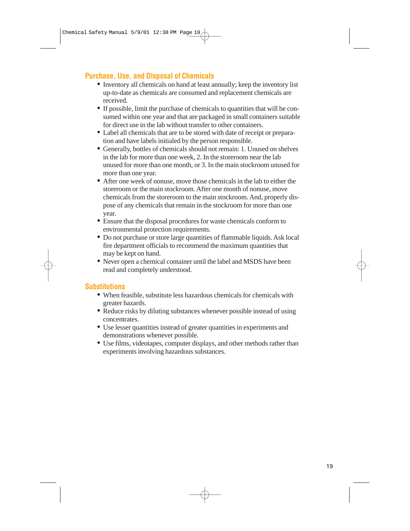#### **Purchase, Use, and Disposal of Chemicals**

- Inventory all chemicals on hand at least annually; keep the inventory list up-to-date as chemicals are consumed and replacement chemicals are received.
- If possible, limit the purchase of chemicals to quantities that will be consumed within one year and that are packaged in small containers suitable for direct use in the lab without transfer to other containers.
- Label all chemicals that are to be stored with date of receipt or preparation and have labels initialed by the person responsible.
- Generally, bottles of chemicals should not remain: 1. Unused on shelves in the lab for more than one week, 2. In the storeroom near the lab unused for more than one month, or 3. In the main stockroom unused for more than one year.
- After one week of nonuse, move those chemicals in the lab to either the storeroom or the main stockroom. After one month of nonuse, move chemicals from the storeroom to the main stockroom. And, properly dispose of any chemicals that remain in the stockroom for more than one year.
- Ensure that the disposal procedures for waste chemicals conform to environmental protection requirements.
- Do not purchase or store large quantities of flammable liquids. Ask local fire department officials to recommend the maximum quantities that may be kept on hand.
- Never open a chemical container until the label and MSDS have been read and completely understood.

#### **Substitutions**

- When feasible, substitute less hazardous chemicals for chemicals with greater hazards.
- Reduce risks by diluting substances whenever possible instead of using concentrates.
- Use lesser quantities instead of greater quantities in experiments and demonstrations whenever possible.
- Use films, videotapes, computer displays, and other methods rather than experiments involving hazardous substances.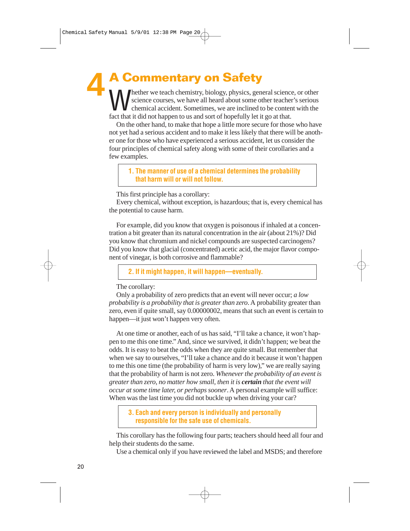**A Commentary on Safety** Mether we teach chemistry, biology, physics, general science, or other<br>science courses, we have all heard about some other teacher's serious<br>chemical accident. Sometimes, we are inclined to be content with the<br>fact that it science courses, we have all heard about some other teacher's serious fact that it did not happen to us and sort of hopefully let it go at that. **4**

On the other hand, to make that hope a little more secure for those who have not yet had a serious accident and to make it less likely that there will be another one for those who have experienced a serious accident, let us consider the four principles of chemical safety along with some of their corollaries and a few examples.

**1. The manner of use of a chemical determines the probability that harm will or will not follow.**

This first principle has a corollary:

Every chemical, without exception, is hazardous; that is, every chemical has the potential to cause harm.

For example, did you know that oxygen is poisonous if inhaled at a concentration a bit greater than its natural concentration in the air (about 21%)? Did you know that chromium and nickel compounds are suspected carcinogens? Did you know that glacial (concentrated) acetic acid, the major flavor component of vinegar, is both corrosive and flammable?

**2. If it might happen, it will happen—eventually.**

The corollary:

Only a probability of zero predicts that an event will never occur; *a low probability is a probability that is greater than zero*. A probability greater than zero, even if quite small, say 0.00000002, means that such an event is certain to happen—it just won't happen very often.

At one time or another, each of us has said, "I'll take a chance, it won't happen to me this one time." And, since we survived, it didn't happen; we beat the odds. It is easy to beat the odds when they are quite small. But remember that when we say to ourselves, "I'll take a chance and do it because it won't happen to me this one time (the probability of harm is very low)," we are really saying that the probability of harm is not zero. *Whenever the probability of an event is greater than zero, no matter how small, then it is certain that the event will occur at some time later, or perhaps sooner*. A personal example will suffice: When was the last time you did not buckle up when driving your car?

**3. Each and every person is individually and personally responsible for the safe use of chemicals.**

This corollary has the following four parts; teachers should heed all four and help their students do the same.

Use a chemical only if you have reviewed the label and MSDS; and therefore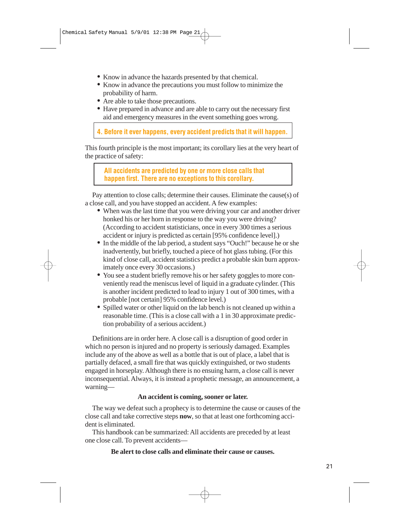- Know in advance the hazards presented by that chemical.
- Know in advance the precautions you must follow to minimize the probability of harm.
- Are able to take those precautions.
- Have prepared in advance and are able to carry out the necessary first aid and emergency measures in the event something goes wrong.

**4. Before it ever happens, every accident predicts that it will happen.**

This fourth principle is the most important; its corollary lies at the very heart of the practice of safety:

**All accidents are predicted by one or more close calls that happen first. There are no exceptions to this corollary.**

Pay attention to close calls; determine their causes. Eliminate the cause(s) of a close call, and you have stopped an accident. A few examples:

- When was the last time that you were driving your car and another driver honked his or her horn in response to the way you were driving? (According to accident statisticians, once in every 300 times a serious accident or injury is predicted as certain [95% confidence level].)
- In the middle of the lab period, a student says "Ouch!" because he or she inadvertently, but briefly, touched a piece of hot glass tubing. (For this kind of close call, accident statistics predict a probable skin burn approximately once every 30 occasions.)
- You see a student briefly remove his or her safety goggles to more conveniently read the meniscus level of liquid in a graduate cylinder. (This is another incident predicted to lead to injury 1 out of 300 times, with a probable [not certain] 95% confidence level.)
- Spilled water or other liquid on the lab bench is not cleaned up within a reasonable time. (This is a close call with a 1 in 30 approximate prediction probability of a serious accident.)

Definitions are in order here. A close call is a disruption of good order in which no person is injured and no property is seriously damaged. Examples include any of the above as well as a bottle that is out of place, a label that is partially defaced, a small fire that was quickly extinguished, or two students engaged in horseplay. Although there is no ensuing harm, a close call is never inconsequential. Always, it is instead a prophetic message, an announcement, a warning—

#### **An accident is coming, sooner or later.**

The way we defeat such a prophecy is to determine the cause or causes of the close call and take corrective steps **now**, so that at least one forthcoming accident is eliminated.

This handbook can be summarized: All accidents are preceded by at least one close call. To prevent accidents—

**Be alert to close calls and eliminate their cause or causes.**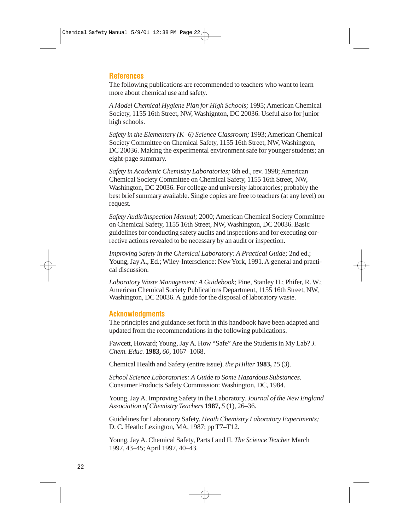#### **References**

The following publications are recommended to teachers who want to learn more about chemical use and safety.

*A Model Chemical Hygiene Plan for High Schools;* 1995; American Chemical Society, 1155 16th Street, NW, Washignton, DC 20036. Useful also for junior high schools.

*Safety in the Elementary (K–6) Science Classroom;* 1993; American Chemical Society Committee on Chemical Safety, 1155 16th Street, NW, Washington, DC 20036. Making the experimental environment safe for younger students; an eight-page summary.

*Safety in Academic Chemistry Laboratories;* 6th ed., rev. 1998; American Chemical Society Committee on Chemical Safety, 1155 16th Street, NW, Washington, DC 20036. For college and university laboratories; probably the best brief summary available. Single copies are free to teachers (at any level) on request.

*Safety Audit/Inspection Manual;* 2000; American Chemical Society Committee on Chemical Safety, 1155 16th Street, NW, Washington, DC 20036. Basic guidelines for conducting safety audits and inspections and for executing corrective actions revealed to be necessary by an audit or inspection.

*Improving Safety in the Chemical Laboratory: A Practical Guide;* 2nd ed.; Young, Jay A., Ed.; Wiley-Interscience: New York, 1991. A general and practical discussion.

*Laboratory Waste Management: A Guidebook;* Pine, Stanley H.; Phifer, R. W.; American Chemical Society Publications Department, 1155 16th Street, NW, Washington, DC 20036. A guide for the disposal of laboratory waste.

#### **Acknowledgments**

The principles and guidance set forth in this handbook have been adapted and updated from the recommendations in the following publications.

Fawcett, Howard; Young, Jay A. How "Safe" Are the Students in My Lab? *J. Chem. Educ.* **1983,** *60,* 1067–1068.

Chemical Health and Safety (entire issue). *the pHilter* **1983,** *15* (3).

*School Science Laboratories: A Guide to Some Hazardous Substances.* Consumer Products Safety Commission: Washington, DC, 1984.

Young, Jay A. Improving Safety in the Laboratory. *Journal of the New England Association of Chemistry Teachers* **1987,** *5* (1), 26–36.

Guidelines for Laboratory Safety. *Heath Chemistry Laboratory Experiments;* D. C. Heath: Lexington, MA, 1987; pp T7–T12.

Young, Jay A. Chemical Safety, Parts I and II. *The Science Teacher* March 1997, 43–45; April 1997, 40–43.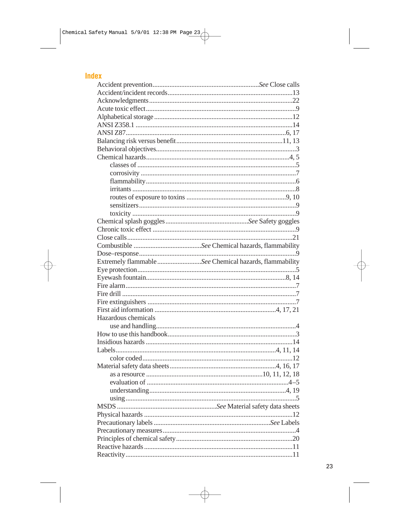#### Index

| Extremely flammable See Chemical hazards, flammability |  |  |  |  |
|--------------------------------------------------------|--|--|--|--|
|                                                        |  |  |  |  |
|                                                        |  |  |  |  |
|                                                        |  |  |  |  |
|                                                        |  |  |  |  |
|                                                        |  |  |  |  |
|                                                        |  |  |  |  |
| Hazardous chemicals                                    |  |  |  |  |
|                                                        |  |  |  |  |
|                                                        |  |  |  |  |
|                                                        |  |  |  |  |
|                                                        |  |  |  |  |
|                                                        |  |  |  |  |
|                                                        |  |  |  |  |
|                                                        |  |  |  |  |
|                                                        |  |  |  |  |
|                                                        |  |  |  |  |
|                                                        |  |  |  |  |
|                                                        |  |  |  |  |
|                                                        |  |  |  |  |
|                                                        |  |  |  |  |
|                                                        |  |  |  |  |
|                                                        |  |  |  |  |
|                                                        |  |  |  |  |
|                                                        |  |  |  |  |
|                                                        |  |  |  |  |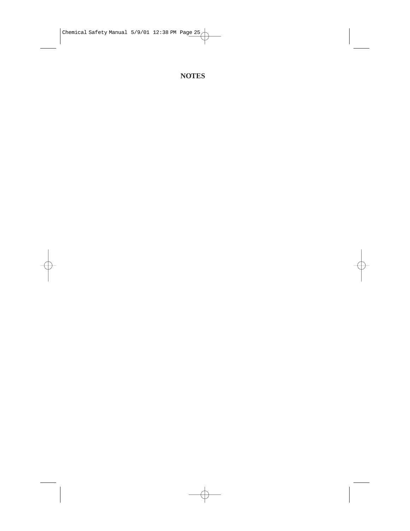#### **NOTES**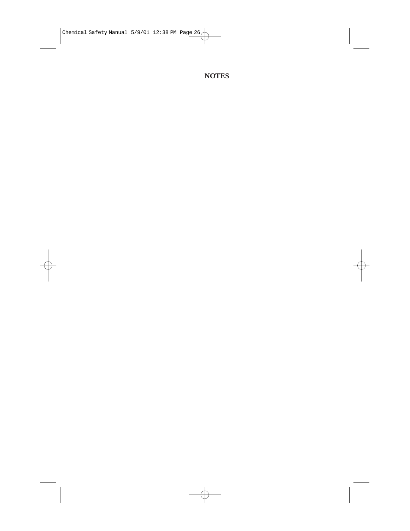#### **NOTES**